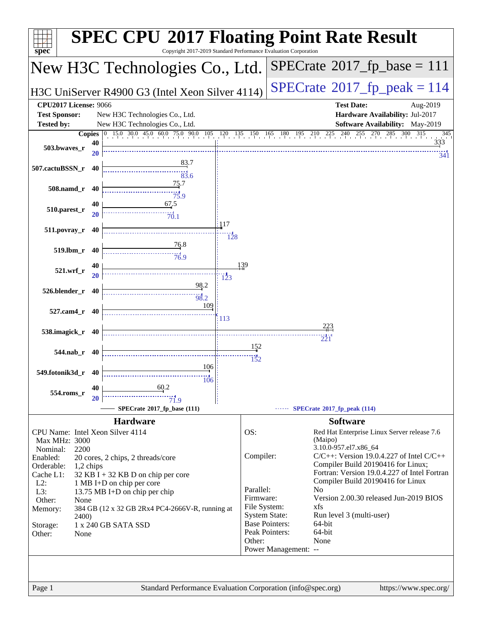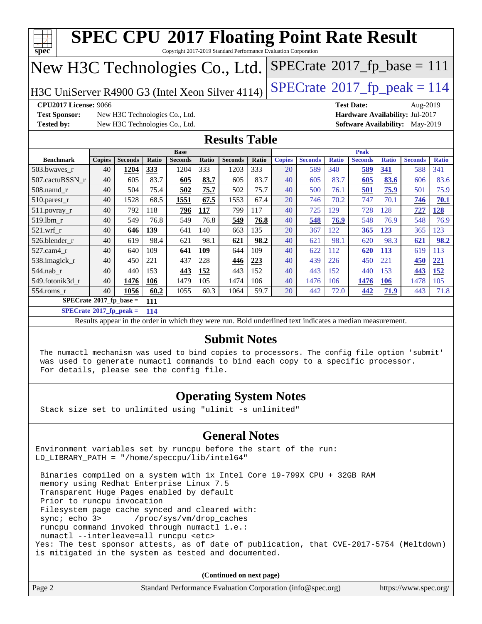| $spec^*$                                                                                                                                                                                                                     |                                                                                               |                |       | <b>SPEC CPU®2017 Floating Point Rate Result</b>                                                          |              |                |       |               |                |              |                |              |                |              |
|------------------------------------------------------------------------------------------------------------------------------------------------------------------------------------------------------------------------------|-----------------------------------------------------------------------------------------------|----------------|-------|----------------------------------------------------------------------------------------------------------|--------------|----------------|-------|---------------|----------------|--------------|----------------|--------------|----------------|--------------|
| Copyright 2017-2019 Standard Performance Evaluation Corporation<br>$SPECTate$ <sup>®</sup> 2017_fp_base = 111<br>New H3C Technologies Co., Ltd.                                                                              |                                                                                               |                |       |                                                                                                          |              |                |       |               |                |              |                |              |                |              |
| $SPECTate@2017_fp\_peak = 114$<br>H3C UniServer R4900 G3 (Intel Xeon Silver 4114)                                                                                                                                            |                                                                                               |                |       |                                                                                                          |              |                |       |               |                |              |                |              |                |              |
| <b>Test Date:</b><br>CPU2017 License: 9066<br>Aug-2019                                                                                                                                                                       |                                                                                               |                |       |                                                                                                          |              |                |       |               |                |              |                |              |                |              |
|                                                                                                                                                                                                                              | <b>Test Sponsor:</b><br>Hardware Availability: Jul-2017<br>New H3C Technologies Co., Ltd.     |                |       |                                                                                                          |              |                |       |               |                |              |                |              |                |              |
|                                                                                                                                                                                                                              | <b>Tested by:</b><br>New H3C Technologies Co., Ltd.<br><b>Software Availability:</b> May-2019 |                |       |                                                                                                          |              |                |       |               |                |              |                |              |                |              |
| <b>Results Table</b>                                                                                                                                                                                                         |                                                                                               |                |       |                                                                                                          |              |                |       |               |                |              |                |              |                |              |
|                                                                                                                                                                                                                              |                                                                                               |                |       | <b>Base</b>                                                                                              |              |                |       |               |                |              | <b>Peak</b>    |              |                |              |
| <b>Benchmark</b>                                                                                                                                                                                                             | <b>Copies</b>                                                                                 | <b>Seconds</b> | Ratio | <b>Seconds</b>                                                                                           | <b>Ratio</b> | <b>Seconds</b> | Ratio | <b>Copies</b> | <b>Seconds</b> | <b>Ratio</b> | <b>Seconds</b> | <b>Ratio</b> | <b>Seconds</b> | <b>Ratio</b> |
| 503.bwaves_r                                                                                                                                                                                                                 | 40                                                                                            | 1204           | 333   | 1204                                                                                                     | 333          | 1203           | 333   | 20            | 589            | 340          | 589            | 341          | 588            | 341          |
| 507.cactuBSSN r                                                                                                                                                                                                              | 40                                                                                            | 605            | 83.7  | 605                                                                                                      | 83.7         | 605            | 83.7  | 40            | 605            | 83.7         | 605            | 83.6         | 606            | 83.6         |
| $508$ .namd $r$                                                                                                                                                                                                              | 40                                                                                            | 504            | 75.4  | 502                                                                                                      | 75.7         | 502            | 75.7  | 40            | 500            | 76.1         | 501            | 75.9         | 501            | 75.9         |
| $510.parest_r$                                                                                                                                                                                                               | 40                                                                                            | 1528           | 68.5  | 1551                                                                                                     | 67.5         | 1553           | 67.4  | 20            | 746            | 70.2         | 747            | 70.1         | 746            | 70.1         |
| 511.povray_r                                                                                                                                                                                                                 | 40                                                                                            | 792            | 118   | 796                                                                                                      | 117          | 799            | 117   | 40            | 725            | 129          | 728            | 128          | 727            | 128          |
| 519.lbm r                                                                                                                                                                                                                    | 40                                                                                            | 549            | 76.8  | 549                                                                                                      | 76.8         | 549            | 76.8  | 40            | 548            | 76.9         | 548            | 76.9         | 548            | 76.9         |
| 521.wrf r                                                                                                                                                                                                                    | 40                                                                                            | 646            | 139   | 641                                                                                                      | 140          | 663            | 135   | 20            | 367            | 122          | 365            | 123          | 365            | 123          |
| 526.blender r                                                                                                                                                                                                                | 40                                                                                            | 619            | 98.4  | 621                                                                                                      | 98.1         | 621            | 98.2  | 40            | 621            | 98.1         | 620            | 98.3         | 621            | 98.2         |
| 527.cam4 r                                                                                                                                                                                                                   | 40                                                                                            | 640            | 109   | 641                                                                                                      | 109          | 644            | 109   | 40            | 622            | 112          | 620            | <u>113</u>   | 619            | 113          |
| 538.imagick_r                                                                                                                                                                                                                | 40                                                                                            | 450            | 221   | 437                                                                                                      | 228          | 446            | 223   | 40            | 439            | 226          | 450            | 221          | 450            | 221          |
| 544.nab r                                                                                                                                                                                                                    | 40                                                                                            | 440            | 153   | 443                                                                                                      | 152          | 443            | 152   | 40            | 443            | 152          | 440            | 153          | 443            | 152          |
| 549.fotonik3d r                                                                                                                                                                                                              | 40                                                                                            | 1476           | 106   | 1479                                                                                                     | 105          | 1474           | 106   | 40            | 1476           | 106          | 1476           | <b>106</b>   | 1478           | 105          |
| $554$ .roms $r$                                                                                                                                                                                                              | 40                                                                                            | 1056           | 60.2  | 1055                                                                                                     | 60.3         | 1064           | 59.7  | 20            | 442            | 72.0         | 442            | 71.9         | 443            | 71.8         |
| $SPECrate$ <sup>®</sup> 2017_fp_base =                                                                                                                                                                                       |                                                                                               |                | 111   |                                                                                                          |              |                |       |               |                |              |                |              |                |              |
| $SPECrate^*2017_fp\_peak =$                                                                                                                                                                                                  |                                                                                               |                | 114   |                                                                                                          |              |                |       |               |                |              |                |              |                |              |
|                                                                                                                                                                                                                              |                                                                                               |                |       | Results appear in the order in which they were run. Bold underlined text indicates a median measurement. |              |                |       |               |                |              |                |              |                |              |
| <b>Submit Notes</b>                                                                                                                                                                                                          |                                                                                               |                |       |                                                                                                          |              |                |       |               |                |              |                |              |                |              |
| The numactl mechanism was used to bind copies to processors. The config file option 'submit'<br>was used to generate numactl commands to bind each copy to a specific processor.<br>For details, please see the config file. |                                                                                               |                |       |                                                                                                          |              |                |       |               |                |              |                |              |                |              |
| <b>Operating System Notes</b>                                                                                                                                                                                                |                                                                                               |                |       |                                                                                                          |              |                |       |               |                |              |                |              |                |              |

Stack size set to unlimited using "ulimit -s unlimited"

#### **[General Notes](http://www.spec.org/auto/cpu2017/Docs/result-fields.html#GeneralNotes)**

Environment variables set by runcpu before the start of the run: LD\_LIBRARY\_PATH = "/home/speccpu/lib/intel64"

 Binaries compiled on a system with 1x Intel Core i9-799X CPU + 32GB RAM memory using Redhat Enterprise Linux 7.5 Transparent Huge Pages enabled by default Prior to runcpu invocation Filesystem page cache synced and cleared with:<br>sync: echo 3> /proc/sys/vm/drop\_caches /proc/sys/vm/drop\_caches runcpu command invoked through numactl i.e.: numactl --interleave=all runcpu <etc> Yes: The test sponsor attests, as of date of publication, that CVE-2017-5754 (Meltdown) is mitigated in the system as tested and documented.

**(Continued on next page)**

| Page 2 | Standard Performance Evaluation Corporation (info@spec.org) | https://www.spec.org/ |
|--------|-------------------------------------------------------------|-----------------------|
|--------|-------------------------------------------------------------|-----------------------|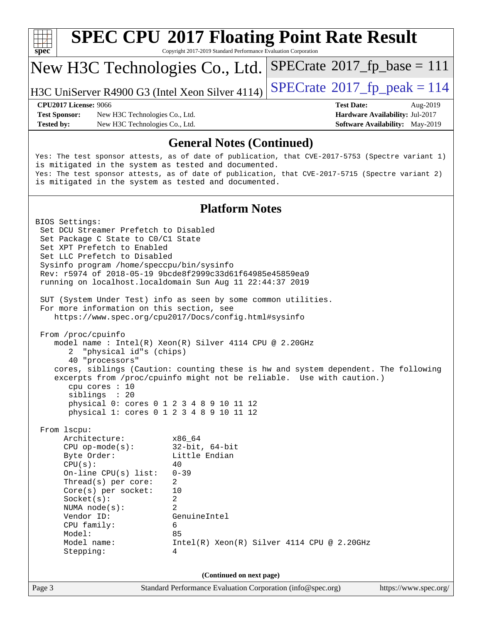

## **[SPEC CPU](http://www.spec.org/auto/cpu2017/Docs/result-fields.html#SPECCPU2017FloatingPointRateResult)[2017 Floating Point Rate Result](http://www.spec.org/auto/cpu2017/Docs/result-fields.html#SPECCPU2017FloatingPointRateResult)**

Copyright 2017-2019 Standard Performance Evaluation Corporation

### New H3C Technologies Co., Ltd.

H3C UniServer R4900 G3 (Intel Xeon Silver 4114)  $\left|$  [SPECrate](http://www.spec.org/auto/cpu2017/Docs/result-fields.html#SPECrate2017fppeak)®[2017\\_fp\\_peak = 1](http://www.spec.org/auto/cpu2017/Docs/result-fields.html#SPECrate2017fppeak)14

 $SPECTate@2017_fp\_base = 111$ 

**[Test Sponsor:](http://www.spec.org/auto/cpu2017/Docs/result-fields.html#TestSponsor)** New H3C Technologies Co., Ltd. **[Hardware Availability:](http://www.spec.org/auto/cpu2017/Docs/result-fields.html#HardwareAvailability)** Jul-2017 **[Tested by:](http://www.spec.org/auto/cpu2017/Docs/result-fields.html#Testedby)** New H3C Technologies Co., Ltd. **[Software Availability:](http://www.spec.org/auto/cpu2017/Docs/result-fields.html#SoftwareAvailability)** May-2019

# **[CPU2017 License:](http://www.spec.org/auto/cpu2017/Docs/result-fields.html#CPU2017License)** 9066 **[Test Date:](http://www.spec.org/auto/cpu2017/Docs/result-fields.html#TestDate)** Aug-2019

#### **[General Notes \(Continued\)](http://www.spec.org/auto/cpu2017/Docs/result-fields.html#GeneralNotes)**

Yes: The test sponsor attests, as of date of publication, that CVE-2017-5753 (Spectre variant 1) is mitigated in the system as tested and documented. Yes: The test sponsor attests, as of date of publication, that CVE-2017-5715 (Spectre variant 2) is mitigated in the system as tested and documented.

#### **[Platform Notes](http://www.spec.org/auto/cpu2017/Docs/result-fields.html#PlatformNotes)**

Page 3 Standard Performance Evaluation Corporation [\(info@spec.org\)](mailto:info@spec.org) <https://www.spec.org/> BIOS Settings: Set DCU Streamer Prefetch to Disabled Set Package C State to C0/C1 State Set XPT Prefetch to Enabled Set LLC Prefetch to Disabled Sysinfo program /home/speccpu/bin/sysinfo Rev: r5974 of 2018-05-19 9bcde8f2999c33d61f64985e45859ea9 running on localhost.localdomain Sun Aug 11 22:44:37 2019 SUT (System Under Test) info as seen by some common utilities. For more information on this section, see <https://www.spec.org/cpu2017/Docs/config.html#sysinfo> From /proc/cpuinfo model name : Intel(R) Xeon(R) Silver 4114 CPU @ 2.20GHz 2 "physical id"s (chips) 40 "processors" cores, siblings (Caution: counting these is hw and system dependent. The following excerpts from /proc/cpuinfo might not be reliable. Use with caution.) cpu cores : 10 siblings : 20 physical 0: cores 0 1 2 3 4 8 9 10 11 12 physical 1: cores 0 1 2 3 4 8 9 10 11 12 From lscpu: Architecture: x86\_64 CPU op-mode(s): 32-bit, 64-bit Byte Order: Little Endian  $CPU(s):$  40 On-line CPU(s) list: 0-39 Thread(s) per core: 2 Core(s) per socket: 10 Socket(s): 2 NUMA node(s): 2 Vendor ID: GenuineIntel CPU family: 6 Model: 85 Model name:  $Intel(R)$  Xeon(R) Silver 4114 CPU @ 2.20GHz Stepping: 4 **(Continued on next page)**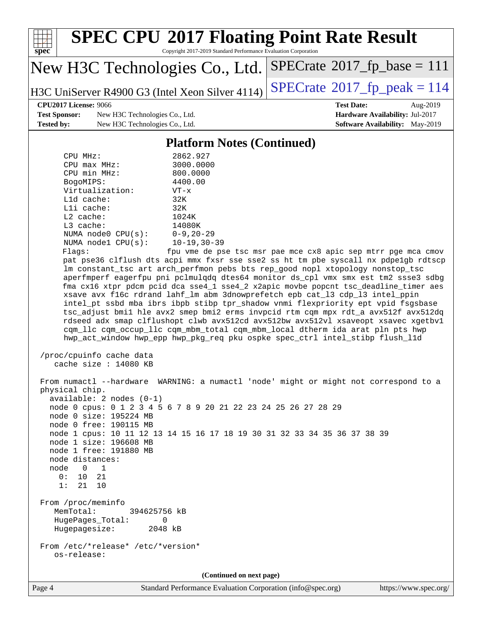

Page 4 Standard Performance Evaluation Corporation [\(info@spec.org\)](mailto:info@spec.org) <https://www.spec.org/>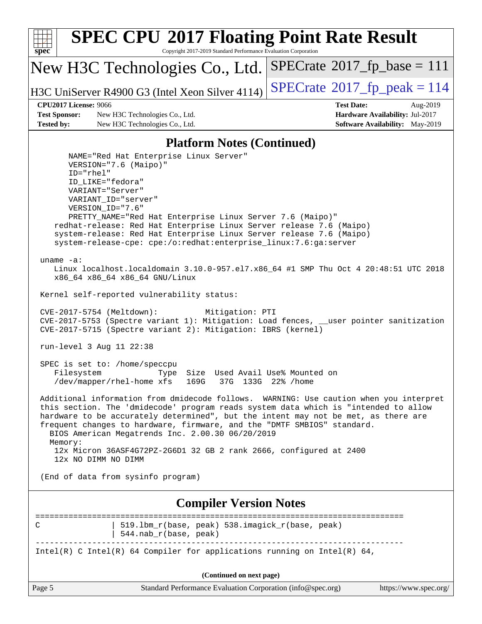| <b>SPEC CPU®2017 Floating Point Rate Result</b><br>Copyright 2017-2019 Standard Performance Evaluation Corporation<br>spec <sup>®</sup>                                                                                                                                                                                                                                                                                                          |                                                                                                     |  |  |  |  |  |
|--------------------------------------------------------------------------------------------------------------------------------------------------------------------------------------------------------------------------------------------------------------------------------------------------------------------------------------------------------------------------------------------------------------------------------------------------|-----------------------------------------------------------------------------------------------------|--|--|--|--|--|
| New H3C Technologies Co., Ltd.                                                                                                                                                                                                                                                                                                                                                                                                                   | $SPECrate^{\circ}2017_fp\_base = 111$                                                               |  |  |  |  |  |
| H3C UniServer R4900 G3 (Intel Xeon Silver 4114)                                                                                                                                                                                                                                                                                                                                                                                                  | $SPECrate^{\circ}2017$ _fp_peak = 114                                                               |  |  |  |  |  |
| <b>CPU2017 License: 9066</b><br><b>Test Sponsor:</b><br>New H3C Technologies Co., Ltd.<br><b>Tested by:</b><br>New H3C Technologies Co., Ltd.                                                                                                                                                                                                                                                                                                    | <b>Test Date:</b><br>Aug-2019<br>Hardware Availability: Jul-2017<br>Software Availability: May-2019 |  |  |  |  |  |
| <b>Platform Notes (Continued)</b>                                                                                                                                                                                                                                                                                                                                                                                                                |                                                                                                     |  |  |  |  |  |
| NAME="Red Hat Enterprise Linux Server"<br>VERSION="7.6 (Maipo)"<br>$ID="rhe1"$<br>ID LIKE="fedora"<br>VARIANT="Server"<br>VARIANT ID="server"<br>VERSION_ID="7.6"<br>PRETTY_NAME="Red Hat Enterprise Linux Server 7.6 (Maipo)"<br>redhat-release: Red Hat Enterprise Linux Server release 7.6 (Maipo)<br>system-release: Red Hat Enterprise Linux Server release 7.6 (Maipo)<br>system-release-cpe: cpe:/o:redhat:enterprise_linux:7.6:ga:server |                                                                                                     |  |  |  |  |  |
| uname $-a$ :<br>Linux localhost.localdomain 3.10.0-957.el7.x86_64 #1 SMP Thu Oct 4 20:48:51 UTC 2018<br>x86_64 x86_64 x86_64 GNU/Linux                                                                                                                                                                                                                                                                                                           |                                                                                                     |  |  |  |  |  |
| Kernel self-reported vulnerability status:                                                                                                                                                                                                                                                                                                                                                                                                       |                                                                                                     |  |  |  |  |  |
| CVE-2017-5754 (Meltdown):<br>Mitigation: PTI<br>CVE-2017-5753 (Spectre variant 1): Mitigation: Load fences, __user pointer sanitization<br>CVE-2017-5715 (Spectre variant 2): Mitigation: IBRS (kernel)                                                                                                                                                                                                                                          |                                                                                                     |  |  |  |  |  |
| run-level 3 Aug 11 22:38                                                                                                                                                                                                                                                                                                                                                                                                                         |                                                                                                     |  |  |  |  |  |
| SPEC is set to: /home/speccpu<br>Size Used Avail Use% Mounted on<br>Filesystem<br>Type<br>37G 133G 22% / home<br>/dev/mapper/rhel-home xfs<br>169G                                                                                                                                                                                                                                                                                               |                                                                                                     |  |  |  |  |  |
| Additional information from dmidecode follows. WARNING: Use caution when you interpret<br>this section. The 'dmidecode' program reads system data which is "intended to allow<br>hardware to be accurately determined", but the intent may not be met, as there are<br>frequent changes to hardware, firmware, and the "DMTF SMBIOS" standard.<br>BIOS American Megatrends Inc. 2.00.30 06/20/2019                                               |                                                                                                     |  |  |  |  |  |
| Memory:<br>12x Micron 36ASF4G72PZ-2G6D1 32 GB 2 rank 2666, configured at 2400<br>12x NO DIMM NO DIMM                                                                                                                                                                                                                                                                                                                                             |                                                                                                     |  |  |  |  |  |
| (End of data from sysinfo program)                                                                                                                                                                                                                                                                                                                                                                                                               |                                                                                                     |  |  |  |  |  |
| <b>Compiler Version Notes</b>                                                                                                                                                                                                                                                                                                                                                                                                                    |                                                                                                     |  |  |  |  |  |
| 519.1bm_r(base, peak) 538.imagick_r(base, peak)<br>C<br>544.nab_r(base, peak)                                                                                                                                                                                                                                                                                                                                                                    | ========================                                                                            |  |  |  |  |  |
| Intel(R) C Intel(R) 64 Compiler for applications running on Intel(R) 64,                                                                                                                                                                                                                                                                                                                                                                         |                                                                                                     |  |  |  |  |  |
| (Continued on next page)                                                                                                                                                                                                                                                                                                                                                                                                                         |                                                                                                     |  |  |  |  |  |
| Page 5<br>Standard Performance Evaluation Corporation (info@spec.org)                                                                                                                                                                                                                                                                                                                                                                            | https://www.spec.org/                                                                               |  |  |  |  |  |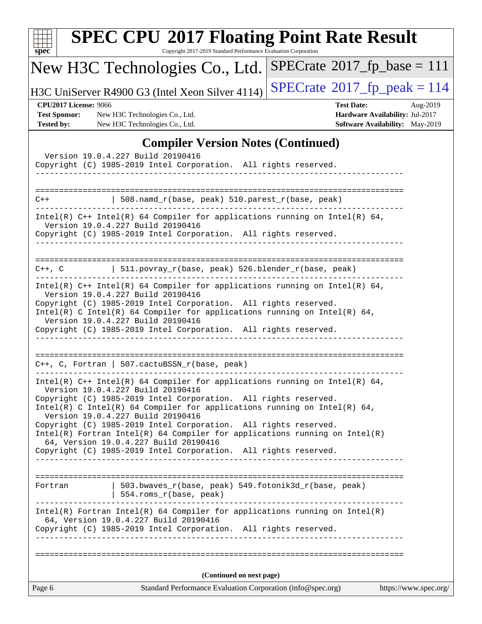| $spec^*$ |                                                                           | <b>SPEC CPU®2017 Floating Point Rate Result</b><br>Copyright 2017-2019 Standard Performance Evaluation Corporation                                                                                                                                                                                                                                                                                                                                                                                                                                                   |                                              |                                                                                       |
|----------|---------------------------------------------------------------------------|----------------------------------------------------------------------------------------------------------------------------------------------------------------------------------------------------------------------------------------------------------------------------------------------------------------------------------------------------------------------------------------------------------------------------------------------------------------------------------------------------------------------------------------------------------------------|----------------------------------------------|---------------------------------------------------------------------------------------|
|          |                                                                           | New H3C Technologies Co., Ltd.                                                                                                                                                                                                                                                                                                                                                                                                                                                                                                                                       | $SPECrate^{\circ}2017_fp\_base = 111$        |                                                                                       |
|          |                                                                           | H3C UniServer R4900 G3 (Intel Xeon Silver 4114)                                                                                                                                                                                                                                                                                                                                                                                                                                                                                                                      | $SPECrate^{\circledcirc}2017_fp\_peak = 114$ |                                                                                       |
|          | <b>CPU2017 License: 9066</b><br><b>Test Sponsor:</b><br><b>Tested by:</b> | New H3C Technologies Co., Ltd.<br>New H3C Technologies Co., Ltd.                                                                                                                                                                                                                                                                                                                                                                                                                                                                                                     | <b>Test Date:</b>                            | Aug-2019<br>Hardware Availability: Jul-2017<br><b>Software Availability:</b> May-2019 |
|          |                                                                           | <b>Compiler Version Notes (Continued)</b><br>Version 19.0.4.227 Build 20190416<br>Copyright (C) 1985-2019 Intel Corporation. All rights reserved.                                                                                                                                                                                                                                                                                                                                                                                                                    |                                              |                                                                                       |
| C++      |                                                                           | $508.namd_r(base, peak) 510.parest_r(base, peak)$                                                                                                                                                                                                                                                                                                                                                                                                                                                                                                                    |                                              |                                                                                       |
|          |                                                                           | Intel(R) $C++$ Intel(R) 64 Compiler for applications running on Intel(R) 64,<br>Version 19.0.4.227 Build 20190416<br>Copyright (C) 1985-2019 Intel Corporation. All rights reserved.                                                                                                                                                                                                                                                                                                                                                                                 |                                              |                                                                                       |
| C++, C   |                                                                           | 511.povray_r(base, peak) 526.blender_r(base, peak)                                                                                                                                                                                                                                                                                                                                                                                                                                                                                                                   |                                              |                                                                                       |
|          |                                                                           | $Intel(R)$ C++ Intel(R) 64 Compiler for applications running on Intel(R) 64,<br>Version 19.0.4.227 Build 20190416<br>Copyright (C) 1985-2019 Intel Corporation. All rights reserved.<br>$Intel(R)$ C Intel(R) 64 Compiler for applications running on Intel(R) 64,<br>Version 19.0.4.227 Build 20190416<br>Copyright (C) 1985-2019 Intel Corporation. All rights reserved.                                                                                                                                                                                           |                                              |                                                                                       |
|          |                                                                           | =============================<br>$C++$ , C, Fortran   507.cactuBSSN_r(base, peak)                                                                                                                                                                                                                                                                                                                                                                                                                                                                                    |                                              |                                                                                       |
|          |                                                                           | Intel(R) $C++$ Intel(R) 64 Compiler for applications running on Intel(R) 64,<br>Version 19.0.4.227 Build 20190416<br>Copyright (C) 1985-2019 Intel Corporation. All rights reserved.<br>Intel(R) C Intel(R) 64 Compiler for applications running on Intel(R) 64,<br>Version 19.0.4.227 Build 20190416<br>Copyright (C) 1985-2019 Intel Corporation. All rights reserved.<br>$Intel(R)$ Fortran Intel(R) 64 Compiler for applications running on Intel(R)<br>64, Version 19.0.4.227 Build 20190416<br>Copyright (C) 1985-2019 Intel Corporation. All rights reserved. |                                              |                                                                                       |
|          |                                                                           |                                                                                                                                                                                                                                                                                                                                                                                                                                                                                                                                                                      |                                              |                                                                                       |
|          | Fortran                                                                   | 503.bwaves_r(base, peak) 549.fotonik3d_r(base, peak)<br>554.roms_r(base, peak)                                                                                                                                                                                                                                                                                                                                                                                                                                                                                       |                                              |                                                                                       |
|          |                                                                           | $Intel(R)$ Fortran Intel(R) 64 Compiler for applications running on Intel(R)<br>64, Version 19.0.4.227 Build 20190416<br>Copyright (C) 1985-2019 Intel Corporation. All rights reserved.                                                                                                                                                                                                                                                                                                                                                                             |                                              |                                                                                       |
|          |                                                                           |                                                                                                                                                                                                                                                                                                                                                                                                                                                                                                                                                                      |                                              |                                                                                       |
|          |                                                                           | (Continued on next page)                                                                                                                                                                                                                                                                                                                                                                                                                                                                                                                                             |                                              |                                                                                       |
| Page 6   |                                                                           | Standard Performance Evaluation Corporation (info@spec.org)                                                                                                                                                                                                                                                                                                                                                                                                                                                                                                          |                                              | https://www.spec.org/                                                                 |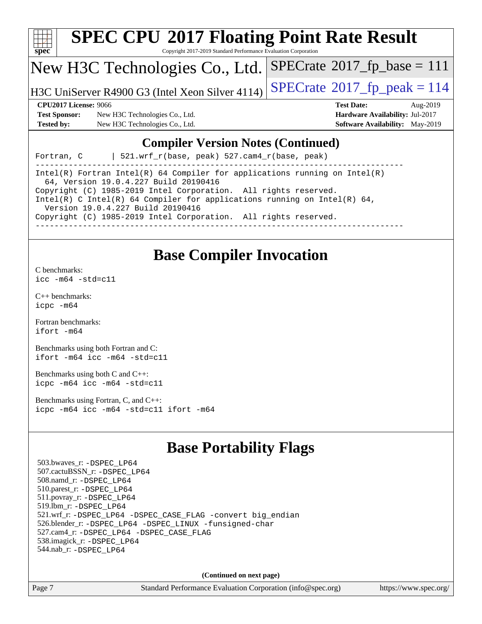

## **[SPEC CPU](http://www.spec.org/auto/cpu2017/Docs/result-fields.html#SPECCPU2017FloatingPointRateResult)[2017 Floating Point Rate Result](http://www.spec.org/auto/cpu2017/Docs/result-fields.html#SPECCPU2017FloatingPointRateResult)**

Copyright 2017-2019 Standard Performance Evaluation Corporation

#### New H3C Technologies Co., Ltd.

H3C UniServer R4900 G3 (Intel Xeon Silver 4114)  $\left|$  [SPECrate](http://www.spec.org/auto/cpu2017/Docs/result-fields.html#SPECrate2017fppeak)®[2017\\_fp\\_peak = 1](http://www.spec.org/auto/cpu2017/Docs/result-fields.html#SPECrate2017fppeak)14

 $SPECrate^{\circ}2017_fp\_base = 111$  $SPECrate^{\circ}2017_fp\_base = 111$ 

**[Test Sponsor:](http://www.spec.org/auto/cpu2017/Docs/result-fields.html#TestSponsor)** New H3C Technologies Co., Ltd. **[Hardware Availability:](http://www.spec.org/auto/cpu2017/Docs/result-fields.html#HardwareAvailability)** Jul-2017 **[Tested by:](http://www.spec.org/auto/cpu2017/Docs/result-fields.html#Testedby)** New H3C Technologies Co., Ltd. **[Software Availability:](http://www.spec.org/auto/cpu2017/Docs/result-fields.html#SoftwareAvailability)** May-2019

**[CPU2017 License:](http://www.spec.org/auto/cpu2017/Docs/result-fields.html#CPU2017License)** 9066 **[Test Date:](http://www.spec.org/auto/cpu2017/Docs/result-fields.html#TestDate)** Aug-2019

#### **[Compiler Version Notes \(Continued\)](http://www.spec.org/auto/cpu2017/Docs/result-fields.html#CompilerVersionNotes)**

Fortran, C | 521.wrf\_r(base, peak) 527.cam4\_r(base, peak)

------------------------------------------------------------------------------ Intel(R) Fortran Intel(R) 64 Compiler for applications running on Intel(R) 64, Version 19.0.4.227 Build 20190416 Copyright (C) 1985-2019 Intel Corporation. All rights reserved. Intel(R) C Intel(R) 64 Compiler for applications running on Intel(R) 64, Version 19.0.4.227 Build 20190416 Copyright (C) 1985-2019 Intel Corporation. All rights reserved. ------------------------------------------------------------------------------

#### **[Base Compiler Invocation](http://www.spec.org/auto/cpu2017/Docs/result-fields.html#BaseCompilerInvocation)**

[C benchmarks](http://www.spec.org/auto/cpu2017/Docs/result-fields.html#Cbenchmarks):

[icc -m64 -std=c11](http://www.spec.org/cpu2017/results/res2019q3/cpu2017-20190814-16746.flags.html#user_CCbase_intel_icc_64bit_c11_33ee0cdaae7deeeab2a9725423ba97205ce30f63b9926c2519791662299b76a0318f32ddfffdc46587804de3178b4f9328c46fa7c2b0cd779d7a61945c91cd35)

[C++ benchmarks:](http://www.spec.org/auto/cpu2017/Docs/result-fields.html#CXXbenchmarks) [icpc -m64](http://www.spec.org/cpu2017/results/res2019q3/cpu2017-20190814-16746.flags.html#user_CXXbase_intel_icpc_64bit_4ecb2543ae3f1412ef961e0650ca070fec7b7afdcd6ed48761b84423119d1bf6bdf5cad15b44d48e7256388bc77273b966e5eb805aefd121eb22e9299b2ec9d9)

[Fortran benchmarks](http://www.spec.org/auto/cpu2017/Docs/result-fields.html#Fortranbenchmarks): [ifort -m64](http://www.spec.org/cpu2017/results/res2019q3/cpu2017-20190814-16746.flags.html#user_FCbase_intel_ifort_64bit_24f2bb282fbaeffd6157abe4f878425411749daecae9a33200eee2bee2fe76f3b89351d69a8130dd5949958ce389cf37ff59a95e7a40d588e8d3a57e0c3fd751)

[Benchmarks using both Fortran and C](http://www.spec.org/auto/cpu2017/Docs/result-fields.html#BenchmarksusingbothFortranandC): [ifort -m64](http://www.spec.org/cpu2017/results/res2019q3/cpu2017-20190814-16746.flags.html#user_CC_FCbase_intel_ifort_64bit_24f2bb282fbaeffd6157abe4f878425411749daecae9a33200eee2bee2fe76f3b89351d69a8130dd5949958ce389cf37ff59a95e7a40d588e8d3a57e0c3fd751) [icc -m64 -std=c11](http://www.spec.org/cpu2017/results/res2019q3/cpu2017-20190814-16746.flags.html#user_CC_FCbase_intel_icc_64bit_c11_33ee0cdaae7deeeab2a9725423ba97205ce30f63b9926c2519791662299b76a0318f32ddfffdc46587804de3178b4f9328c46fa7c2b0cd779d7a61945c91cd35)

[Benchmarks using both C and C++](http://www.spec.org/auto/cpu2017/Docs/result-fields.html#BenchmarksusingbothCandCXX): [icpc -m64](http://www.spec.org/cpu2017/results/res2019q3/cpu2017-20190814-16746.flags.html#user_CC_CXXbase_intel_icpc_64bit_4ecb2543ae3f1412ef961e0650ca070fec7b7afdcd6ed48761b84423119d1bf6bdf5cad15b44d48e7256388bc77273b966e5eb805aefd121eb22e9299b2ec9d9) [icc -m64 -std=c11](http://www.spec.org/cpu2017/results/res2019q3/cpu2017-20190814-16746.flags.html#user_CC_CXXbase_intel_icc_64bit_c11_33ee0cdaae7deeeab2a9725423ba97205ce30f63b9926c2519791662299b76a0318f32ddfffdc46587804de3178b4f9328c46fa7c2b0cd779d7a61945c91cd35)

[Benchmarks using Fortran, C, and C++:](http://www.spec.org/auto/cpu2017/Docs/result-fields.html#BenchmarksusingFortranCandCXX) [icpc -m64](http://www.spec.org/cpu2017/results/res2019q3/cpu2017-20190814-16746.flags.html#user_CC_CXX_FCbase_intel_icpc_64bit_4ecb2543ae3f1412ef961e0650ca070fec7b7afdcd6ed48761b84423119d1bf6bdf5cad15b44d48e7256388bc77273b966e5eb805aefd121eb22e9299b2ec9d9) [icc -m64 -std=c11](http://www.spec.org/cpu2017/results/res2019q3/cpu2017-20190814-16746.flags.html#user_CC_CXX_FCbase_intel_icc_64bit_c11_33ee0cdaae7deeeab2a9725423ba97205ce30f63b9926c2519791662299b76a0318f32ddfffdc46587804de3178b4f9328c46fa7c2b0cd779d7a61945c91cd35) [ifort -m64](http://www.spec.org/cpu2017/results/res2019q3/cpu2017-20190814-16746.flags.html#user_CC_CXX_FCbase_intel_ifort_64bit_24f2bb282fbaeffd6157abe4f878425411749daecae9a33200eee2bee2fe76f3b89351d69a8130dd5949958ce389cf37ff59a95e7a40d588e8d3a57e0c3fd751)

## **[Base Portability Flags](http://www.spec.org/auto/cpu2017/Docs/result-fields.html#BasePortabilityFlags)**

 503.bwaves\_r: [-DSPEC\\_LP64](http://www.spec.org/cpu2017/results/res2019q3/cpu2017-20190814-16746.flags.html#suite_basePORTABILITY503_bwaves_r_DSPEC_LP64) 507.cactuBSSN\_r: [-DSPEC\\_LP64](http://www.spec.org/cpu2017/results/res2019q3/cpu2017-20190814-16746.flags.html#suite_basePORTABILITY507_cactuBSSN_r_DSPEC_LP64) 508.namd\_r: [-DSPEC\\_LP64](http://www.spec.org/cpu2017/results/res2019q3/cpu2017-20190814-16746.flags.html#suite_basePORTABILITY508_namd_r_DSPEC_LP64) 510.parest\_r: [-DSPEC\\_LP64](http://www.spec.org/cpu2017/results/res2019q3/cpu2017-20190814-16746.flags.html#suite_basePORTABILITY510_parest_r_DSPEC_LP64) 511.povray\_r: [-DSPEC\\_LP64](http://www.spec.org/cpu2017/results/res2019q3/cpu2017-20190814-16746.flags.html#suite_basePORTABILITY511_povray_r_DSPEC_LP64) 519.lbm\_r: [-DSPEC\\_LP64](http://www.spec.org/cpu2017/results/res2019q3/cpu2017-20190814-16746.flags.html#suite_basePORTABILITY519_lbm_r_DSPEC_LP64) 521.wrf\_r: [-DSPEC\\_LP64](http://www.spec.org/cpu2017/results/res2019q3/cpu2017-20190814-16746.flags.html#suite_basePORTABILITY521_wrf_r_DSPEC_LP64) [-DSPEC\\_CASE\\_FLAG](http://www.spec.org/cpu2017/results/res2019q3/cpu2017-20190814-16746.flags.html#b521.wrf_r_baseCPORTABILITY_DSPEC_CASE_FLAG) [-convert big\\_endian](http://www.spec.org/cpu2017/results/res2019q3/cpu2017-20190814-16746.flags.html#user_baseFPORTABILITY521_wrf_r_convert_big_endian_c3194028bc08c63ac5d04de18c48ce6d347e4e562e8892b8bdbdc0214820426deb8554edfa529a3fb25a586e65a3d812c835984020483e7e73212c4d31a38223) 526.blender\_r: [-DSPEC\\_LP64](http://www.spec.org/cpu2017/results/res2019q3/cpu2017-20190814-16746.flags.html#suite_basePORTABILITY526_blender_r_DSPEC_LP64) [-DSPEC\\_LINUX](http://www.spec.org/cpu2017/results/res2019q3/cpu2017-20190814-16746.flags.html#b526.blender_r_baseCPORTABILITY_DSPEC_LINUX) [-funsigned-char](http://www.spec.org/cpu2017/results/res2019q3/cpu2017-20190814-16746.flags.html#user_baseCPORTABILITY526_blender_r_force_uchar_40c60f00ab013830e2dd6774aeded3ff59883ba5a1fc5fc14077f794d777847726e2a5858cbc7672e36e1b067e7e5c1d9a74f7176df07886a243d7cc18edfe67) 527.cam4\_r: [-DSPEC\\_LP64](http://www.spec.org/cpu2017/results/res2019q3/cpu2017-20190814-16746.flags.html#suite_basePORTABILITY527_cam4_r_DSPEC_LP64) [-DSPEC\\_CASE\\_FLAG](http://www.spec.org/cpu2017/results/res2019q3/cpu2017-20190814-16746.flags.html#b527.cam4_r_baseCPORTABILITY_DSPEC_CASE_FLAG) 538.imagick\_r: [-DSPEC\\_LP64](http://www.spec.org/cpu2017/results/res2019q3/cpu2017-20190814-16746.flags.html#suite_basePORTABILITY538_imagick_r_DSPEC_LP64) 544.nab\_r: [-DSPEC\\_LP64](http://www.spec.org/cpu2017/results/res2019q3/cpu2017-20190814-16746.flags.html#suite_basePORTABILITY544_nab_r_DSPEC_LP64)

**(Continued on next page)**

Page 7 Standard Performance Evaluation Corporation [\(info@spec.org\)](mailto:info@spec.org) <https://www.spec.org/>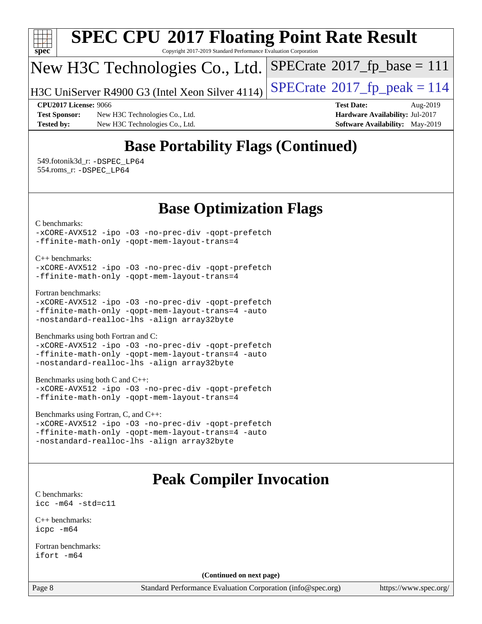

## **[SPEC CPU](http://www.spec.org/auto/cpu2017/Docs/result-fields.html#SPECCPU2017FloatingPointRateResult)[2017 Floating Point Rate Result](http://www.spec.org/auto/cpu2017/Docs/result-fields.html#SPECCPU2017FloatingPointRateResult)**

Copyright 2017-2019 Standard Performance Evaluation Corporation

## New H3C Technologies Co., Ltd.

H3C UniServer R4900 G3 (Intel Xeon Silver 4114)  $\vert$  [SPECrate](http://www.spec.org/auto/cpu2017/Docs/result-fields.html#SPECrate2017fppeak)®[2017\\_fp\\_peak = 1](http://www.spec.org/auto/cpu2017/Docs/result-fields.html#SPECrate2017fppeak)14

 $SPECTate@2017_fp\_base = 111$ 

**[Test Sponsor:](http://www.spec.org/auto/cpu2017/Docs/result-fields.html#TestSponsor)** New H3C Technologies Co., Ltd. **[Hardware Availability:](http://www.spec.org/auto/cpu2017/Docs/result-fields.html#HardwareAvailability)** Jul-2017 **[Tested by:](http://www.spec.org/auto/cpu2017/Docs/result-fields.html#Testedby)** New H3C Technologies Co., Ltd. **[Software Availability:](http://www.spec.org/auto/cpu2017/Docs/result-fields.html#SoftwareAvailability)** May-2019

**[CPU2017 License:](http://www.spec.org/auto/cpu2017/Docs/result-fields.html#CPU2017License)** 9066 **[Test Date:](http://www.spec.org/auto/cpu2017/Docs/result-fields.html#TestDate)** Aug-2019

### **[Base Portability Flags \(Continued\)](http://www.spec.org/auto/cpu2017/Docs/result-fields.html#BasePortabilityFlags)**

 549.fotonik3d\_r: [-DSPEC\\_LP64](http://www.spec.org/cpu2017/results/res2019q3/cpu2017-20190814-16746.flags.html#suite_basePORTABILITY549_fotonik3d_r_DSPEC_LP64) 554.roms\_r: [-DSPEC\\_LP64](http://www.spec.org/cpu2017/results/res2019q3/cpu2017-20190814-16746.flags.html#suite_basePORTABILITY554_roms_r_DSPEC_LP64)

#### **[Base Optimization Flags](http://www.spec.org/auto/cpu2017/Docs/result-fields.html#BaseOptimizationFlags)**

[C benchmarks](http://www.spec.org/auto/cpu2017/Docs/result-fields.html#Cbenchmarks):

[-xCORE-AVX512](http://www.spec.org/cpu2017/results/res2019q3/cpu2017-20190814-16746.flags.html#user_CCbase_f-xCORE-AVX512) [-ipo](http://www.spec.org/cpu2017/results/res2019q3/cpu2017-20190814-16746.flags.html#user_CCbase_f-ipo) [-O3](http://www.spec.org/cpu2017/results/res2019q3/cpu2017-20190814-16746.flags.html#user_CCbase_f-O3) [-no-prec-div](http://www.spec.org/cpu2017/results/res2019q3/cpu2017-20190814-16746.flags.html#user_CCbase_f-no-prec-div) [-qopt-prefetch](http://www.spec.org/cpu2017/results/res2019q3/cpu2017-20190814-16746.flags.html#user_CCbase_f-qopt-prefetch) [-ffinite-math-only](http://www.spec.org/cpu2017/results/res2019q3/cpu2017-20190814-16746.flags.html#user_CCbase_f_finite_math_only_cb91587bd2077682c4b38af759c288ed7c732db004271a9512da14a4f8007909a5f1427ecbf1a0fb78ff2a814402c6114ac565ca162485bbcae155b5e4258871) [-qopt-mem-layout-trans=4](http://www.spec.org/cpu2017/results/res2019q3/cpu2017-20190814-16746.flags.html#user_CCbase_f-qopt-mem-layout-trans_fa39e755916c150a61361b7846f310bcdf6f04e385ef281cadf3647acec3f0ae266d1a1d22d972a7087a248fd4e6ca390a3634700869573d231a252c784941a8)

[C++ benchmarks:](http://www.spec.org/auto/cpu2017/Docs/result-fields.html#CXXbenchmarks)

[-xCORE-AVX512](http://www.spec.org/cpu2017/results/res2019q3/cpu2017-20190814-16746.flags.html#user_CXXbase_f-xCORE-AVX512) [-ipo](http://www.spec.org/cpu2017/results/res2019q3/cpu2017-20190814-16746.flags.html#user_CXXbase_f-ipo) -03 [-no-prec-div](http://www.spec.org/cpu2017/results/res2019q3/cpu2017-20190814-16746.flags.html#user_CXXbase_f-no-prec-div) [-qopt-prefetch](http://www.spec.org/cpu2017/results/res2019q3/cpu2017-20190814-16746.flags.html#user_CXXbase_f-qopt-prefetch) [-ffinite-math-only](http://www.spec.org/cpu2017/results/res2019q3/cpu2017-20190814-16746.flags.html#user_CXXbase_f_finite_math_only_cb91587bd2077682c4b38af759c288ed7c732db004271a9512da14a4f8007909a5f1427ecbf1a0fb78ff2a814402c6114ac565ca162485bbcae155b5e4258871) [-qopt-mem-layout-trans=4](http://www.spec.org/cpu2017/results/res2019q3/cpu2017-20190814-16746.flags.html#user_CXXbase_f-qopt-mem-layout-trans_fa39e755916c150a61361b7846f310bcdf6f04e385ef281cadf3647acec3f0ae266d1a1d22d972a7087a248fd4e6ca390a3634700869573d231a252c784941a8)

[Fortran benchmarks](http://www.spec.org/auto/cpu2017/Docs/result-fields.html#Fortranbenchmarks):

[-xCORE-AVX512](http://www.spec.org/cpu2017/results/res2019q3/cpu2017-20190814-16746.flags.html#user_FCbase_f-xCORE-AVX512) [-ipo](http://www.spec.org/cpu2017/results/res2019q3/cpu2017-20190814-16746.flags.html#user_FCbase_f-ipo) [-O3](http://www.spec.org/cpu2017/results/res2019q3/cpu2017-20190814-16746.flags.html#user_FCbase_f-O3) [-no-prec-div](http://www.spec.org/cpu2017/results/res2019q3/cpu2017-20190814-16746.flags.html#user_FCbase_f-no-prec-div) [-qopt-prefetch](http://www.spec.org/cpu2017/results/res2019q3/cpu2017-20190814-16746.flags.html#user_FCbase_f-qopt-prefetch) [-ffinite-math-only](http://www.spec.org/cpu2017/results/res2019q3/cpu2017-20190814-16746.flags.html#user_FCbase_f_finite_math_only_cb91587bd2077682c4b38af759c288ed7c732db004271a9512da14a4f8007909a5f1427ecbf1a0fb78ff2a814402c6114ac565ca162485bbcae155b5e4258871) [-qopt-mem-layout-trans=4](http://www.spec.org/cpu2017/results/res2019q3/cpu2017-20190814-16746.flags.html#user_FCbase_f-qopt-mem-layout-trans_fa39e755916c150a61361b7846f310bcdf6f04e385ef281cadf3647acec3f0ae266d1a1d22d972a7087a248fd4e6ca390a3634700869573d231a252c784941a8) [-auto](http://www.spec.org/cpu2017/results/res2019q3/cpu2017-20190814-16746.flags.html#user_FCbase_f-auto) [-nostandard-realloc-lhs](http://www.spec.org/cpu2017/results/res2019q3/cpu2017-20190814-16746.flags.html#user_FCbase_f_2003_std_realloc_82b4557e90729c0f113870c07e44d33d6f5a304b4f63d4c15d2d0f1fab99f5daaed73bdb9275d9ae411527f28b936061aa8b9c8f2d63842963b95c9dd6426b8a) [-align array32byte](http://www.spec.org/cpu2017/results/res2019q3/cpu2017-20190814-16746.flags.html#user_FCbase_align_array32byte_b982fe038af199962ba9a80c053b8342c548c85b40b8e86eb3cc33dee0d7986a4af373ac2d51c3f7cf710a18d62fdce2948f201cd044323541f22fc0fffc51b6)

[Benchmarks using both Fortran and C](http://www.spec.org/auto/cpu2017/Docs/result-fields.html#BenchmarksusingbothFortranandC):

[-xCORE-AVX512](http://www.spec.org/cpu2017/results/res2019q3/cpu2017-20190814-16746.flags.html#user_CC_FCbase_f-xCORE-AVX512) [-ipo](http://www.spec.org/cpu2017/results/res2019q3/cpu2017-20190814-16746.flags.html#user_CC_FCbase_f-ipo) [-O3](http://www.spec.org/cpu2017/results/res2019q3/cpu2017-20190814-16746.flags.html#user_CC_FCbase_f-O3) [-no-prec-div](http://www.spec.org/cpu2017/results/res2019q3/cpu2017-20190814-16746.flags.html#user_CC_FCbase_f-no-prec-div) [-qopt-prefetch](http://www.spec.org/cpu2017/results/res2019q3/cpu2017-20190814-16746.flags.html#user_CC_FCbase_f-qopt-prefetch) [-ffinite-math-only](http://www.spec.org/cpu2017/results/res2019q3/cpu2017-20190814-16746.flags.html#user_CC_FCbase_f_finite_math_only_cb91587bd2077682c4b38af759c288ed7c732db004271a9512da14a4f8007909a5f1427ecbf1a0fb78ff2a814402c6114ac565ca162485bbcae155b5e4258871) [-qopt-mem-layout-trans=4](http://www.spec.org/cpu2017/results/res2019q3/cpu2017-20190814-16746.flags.html#user_CC_FCbase_f-qopt-mem-layout-trans_fa39e755916c150a61361b7846f310bcdf6f04e385ef281cadf3647acec3f0ae266d1a1d22d972a7087a248fd4e6ca390a3634700869573d231a252c784941a8) [-auto](http://www.spec.org/cpu2017/results/res2019q3/cpu2017-20190814-16746.flags.html#user_CC_FCbase_f-auto) [-nostandard-realloc-lhs](http://www.spec.org/cpu2017/results/res2019q3/cpu2017-20190814-16746.flags.html#user_CC_FCbase_f_2003_std_realloc_82b4557e90729c0f113870c07e44d33d6f5a304b4f63d4c15d2d0f1fab99f5daaed73bdb9275d9ae411527f28b936061aa8b9c8f2d63842963b95c9dd6426b8a) [-align array32byte](http://www.spec.org/cpu2017/results/res2019q3/cpu2017-20190814-16746.flags.html#user_CC_FCbase_align_array32byte_b982fe038af199962ba9a80c053b8342c548c85b40b8e86eb3cc33dee0d7986a4af373ac2d51c3f7cf710a18d62fdce2948f201cd044323541f22fc0fffc51b6)

[Benchmarks using both C and C++](http://www.spec.org/auto/cpu2017/Docs/result-fields.html#BenchmarksusingbothCandCXX):

```
-xCORE-AVX512 -ipo -O3 -no-prec-div -qopt-prefetch
-ffinite-math-only -qopt-mem-layout-trans=4
```
#### [Benchmarks using Fortran, C, and C++:](http://www.spec.org/auto/cpu2017/Docs/result-fields.html#BenchmarksusingFortranCandCXX)

```
-xCORE-AVX512 -ipo -O3 -no-prec-div -qopt-prefetch
-ffinite-math-only -qopt-mem-layout-trans=4 -auto
-nostandard-realloc-lhs -align array32byte
```
### **[Peak Compiler Invocation](http://www.spec.org/auto/cpu2017/Docs/result-fields.html#PeakCompilerInvocation)**

[C benchmarks](http://www.spec.org/auto/cpu2017/Docs/result-fields.html#Cbenchmarks): [icc -m64 -std=c11](http://www.spec.org/cpu2017/results/res2019q3/cpu2017-20190814-16746.flags.html#user_CCpeak_intel_icc_64bit_c11_33ee0cdaae7deeeab2a9725423ba97205ce30f63b9926c2519791662299b76a0318f32ddfffdc46587804de3178b4f9328c46fa7c2b0cd779d7a61945c91cd35)

[C++ benchmarks:](http://www.spec.org/auto/cpu2017/Docs/result-fields.html#CXXbenchmarks) [icpc -m64](http://www.spec.org/cpu2017/results/res2019q3/cpu2017-20190814-16746.flags.html#user_CXXpeak_intel_icpc_64bit_4ecb2543ae3f1412ef961e0650ca070fec7b7afdcd6ed48761b84423119d1bf6bdf5cad15b44d48e7256388bc77273b966e5eb805aefd121eb22e9299b2ec9d9)

[Fortran benchmarks](http://www.spec.org/auto/cpu2017/Docs/result-fields.html#Fortranbenchmarks): [ifort -m64](http://www.spec.org/cpu2017/results/res2019q3/cpu2017-20190814-16746.flags.html#user_FCpeak_intel_ifort_64bit_24f2bb282fbaeffd6157abe4f878425411749daecae9a33200eee2bee2fe76f3b89351d69a8130dd5949958ce389cf37ff59a95e7a40d588e8d3a57e0c3fd751)

**(Continued on next page)**

Page 8 Standard Performance Evaluation Corporation [\(info@spec.org\)](mailto:info@spec.org) <https://www.spec.org/>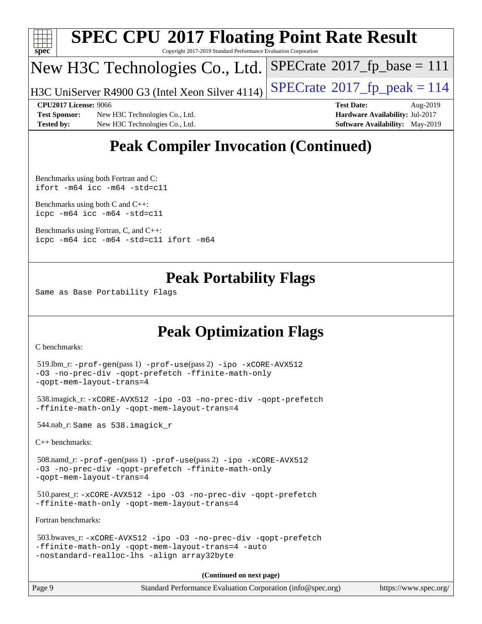

#### **[SPEC CPU](http://www.spec.org/auto/cpu2017/Docs/result-fields.html#SPECCPU2017FloatingPointRateResult)[2017 Floating Point Rate Result](http://www.spec.org/auto/cpu2017/Docs/result-fields.html#SPECCPU2017FloatingPointRateResult)** Copyright 2017-2019 Standard Performance Evaluation Corporation

### New H3C Technologies Co., Ltd.

H3C UniServer R4900 G3 (Intel Xeon Silver 4114)  $\vert$  [SPECrate](http://www.spec.org/auto/cpu2017/Docs/result-fields.html#SPECrate2017fppeak)®[2017\\_fp\\_peak = 1](http://www.spec.org/auto/cpu2017/Docs/result-fields.html#SPECrate2017fppeak)14

 $SPECTate$ <sup>®</sup>[2017\\_fp\\_base =](http://www.spec.org/auto/cpu2017/Docs/result-fields.html#SPECrate2017fpbase) 111

**[Test Sponsor:](http://www.spec.org/auto/cpu2017/Docs/result-fields.html#TestSponsor)** New H3C Technologies Co., Ltd. **[Hardware Availability:](http://www.spec.org/auto/cpu2017/Docs/result-fields.html#HardwareAvailability)** Jul-2017 **[Tested by:](http://www.spec.org/auto/cpu2017/Docs/result-fields.html#Testedby)** New H3C Technologies Co., Ltd. **[Software Availability:](http://www.spec.org/auto/cpu2017/Docs/result-fields.html#SoftwareAvailability)** May-2019

**[CPU2017 License:](http://www.spec.org/auto/cpu2017/Docs/result-fields.html#CPU2017License)** 9066 **[Test Date:](http://www.spec.org/auto/cpu2017/Docs/result-fields.html#TestDate)** Aug-2019

## **[Peak Compiler Invocation \(Continued\)](http://www.spec.org/auto/cpu2017/Docs/result-fields.html#PeakCompilerInvocation)**

[Benchmarks using both Fortran and C](http://www.spec.org/auto/cpu2017/Docs/result-fields.html#BenchmarksusingbothFortranandC): [ifort -m64](http://www.spec.org/cpu2017/results/res2019q3/cpu2017-20190814-16746.flags.html#user_CC_FCpeak_intel_ifort_64bit_24f2bb282fbaeffd6157abe4f878425411749daecae9a33200eee2bee2fe76f3b89351d69a8130dd5949958ce389cf37ff59a95e7a40d588e8d3a57e0c3fd751) [icc -m64 -std=c11](http://www.spec.org/cpu2017/results/res2019q3/cpu2017-20190814-16746.flags.html#user_CC_FCpeak_intel_icc_64bit_c11_33ee0cdaae7deeeab2a9725423ba97205ce30f63b9926c2519791662299b76a0318f32ddfffdc46587804de3178b4f9328c46fa7c2b0cd779d7a61945c91cd35)

[Benchmarks using both C and C++](http://www.spec.org/auto/cpu2017/Docs/result-fields.html#BenchmarksusingbothCandCXX): [icpc -m64](http://www.spec.org/cpu2017/results/res2019q3/cpu2017-20190814-16746.flags.html#user_CC_CXXpeak_intel_icpc_64bit_4ecb2543ae3f1412ef961e0650ca070fec7b7afdcd6ed48761b84423119d1bf6bdf5cad15b44d48e7256388bc77273b966e5eb805aefd121eb22e9299b2ec9d9) [icc -m64 -std=c11](http://www.spec.org/cpu2017/results/res2019q3/cpu2017-20190814-16746.flags.html#user_CC_CXXpeak_intel_icc_64bit_c11_33ee0cdaae7deeeab2a9725423ba97205ce30f63b9926c2519791662299b76a0318f32ddfffdc46587804de3178b4f9328c46fa7c2b0cd779d7a61945c91cd35)

[Benchmarks using Fortran, C, and C++:](http://www.spec.org/auto/cpu2017/Docs/result-fields.html#BenchmarksusingFortranCandCXX) [icpc -m64](http://www.spec.org/cpu2017/results/res2019q3/cpu2017-20190814-16746.flags.html#user_CC_CXX_FCpeak_intel_icpc_64bit_4ecb2543ae3f1412ef961e0650ca070fec7b7afdcd6ed48761b84423119d1bf6bdf5cad15b44d48e7256388bc77273b966e5eb805aefd121eb22e9299b2ec9d9) [icc -m64 -std=c11](http://www.spec.org/cpu2017/results/res2019q3/cpu2017-20190814-16746.flags.html#user_CC_CXX_FCpeak_intel_icc_64bit_c11_33ee0cdaae7deeeab2a9725423ba97205ce30f63b9926c2519791662299b76a0318f32ddfffdc46587804de3178b4f9328c46fa7c2b0cd779d7a61945c91cd35) [ifort -m64](http://www.spec.org/cpu2017/results/res2019q3/cpu2017-20190814-16746.flags.html#user_CC_CXX_FCpeak_intel_ifort_64bit_24f2bb282fbaeffd6157abe4f878425411749daecae9a33200eee2bee2fe76f3b89351d69a8130dd5949958ce389cf37ff59a95e7a40d588e8d3a57e0c3fd751)

### **[Peak Portability Flags](http://www.spec.org/auto/cpu2017/Docs/result-fields.html#PeakPortabilityFlags)**

Same as Base Portability Flags

## **[Peak Optimization Flags](http://www.spec.org/auto/cpu2017/Docs/result-fields.html#PeakOptimizationFlags)**

[C benchmarks](http://www.spec.org/auto/cpu2017/Docs/result-fields.html#Cbenchmarks):

```
 519.lbm_r: -prof-gen(pass 1) -prof-use(pass 2) -ipo -xCORE-AVX512
-O3 -no-prec-div -qopt-prefetch -ffinite-math-only
-qopt-mem-layout-trans=4
```

```
 538.imagick_r: -xCORE-AVX512 -ipo -O3 -no-prec-div -qopt-prefetch
-ffinite-math-only -qopt-mem-layout-trans=4
```
544.nab\_r: Same as 538.imagick\_r

[C++ benchmarks:](http://www.spec.org/auto/cpu2017/Docs/result-fields.html#CXXbenchmarks)

```
 508.namd_r: -prof-gen(pass 1) -prof-use(pass 2) -ipo -xCORE-AVX512
-O3 -no-prec-div -qopt-prefetch -ffinite-math-only
-qopt-mem-layout-trans=4
```

```
 510.parest_r: -xCORE-AVX512 -ipo -O3 -no-prec-div -qopt-prefetch
-ffinite-math-only -qopt-mem-layout-trans=4
```
[Fortran benchmarks](http://www.spec.org/auto/cpu2017/Docs/result-fields.html#Fortranbenchmarks):

```
 503.bwaves_r: -xCORE-AVX512 -ipo -O3 -no-prec-div -qopt-prefetch
-ffinite-math-only -qopt-mem-layout-trans=4 -auto
-nostandard-realloc-lhs -align array32byte
```
**(Continued on next page)**